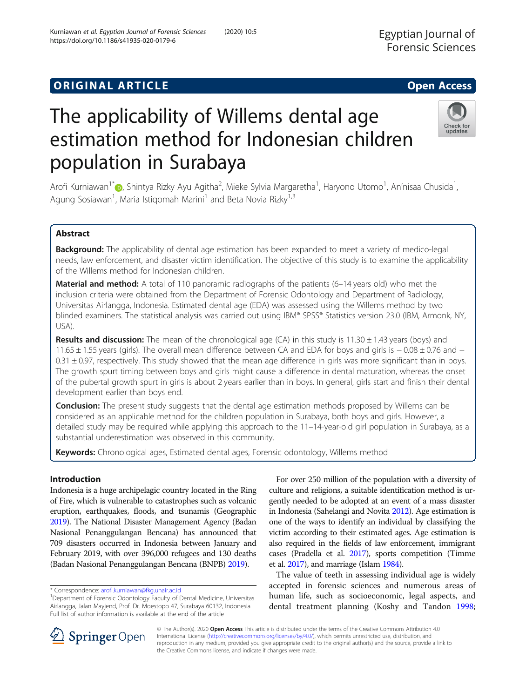# **ORIGINAL ARTICLE CONSERVANCE IN A LOCAL CONSERVANCE IN A LOCAL CONSERVANCE IN A LOCAL CONSERVANCE IN A LOCAL CONS**

# The applicability of Willems dental age estimation method for Indonesian children population in Surabaya

Arofi Kurniawan<sup>1\*</sup>@[,](http://orcid.org/0000-0002-4698-9876) Shintya Rizky Ayu Agitha<sup>2</sup>, Mieke Sylvia Margaretha<sup>1</sup>, Haryono Utomo<sup>1</sup>, An'nisaa Chusida<sup>1</sup> , Agung Sosiawan<sup>1</sup>, Maria Istiqomah Marini<sup>1</sup> and Beta Novia Rizky<sup>1,3</sup>

# Abstract

Background: The applicability of dental age estimation has been expanded to meet a variety of medico-legal needs, law enforcement, and disaster victim identification. The objective of this study is to examine the applicability of the Willems method for Indonesian children.

Material and method: A total of 110 panoramic radiographs of the patients (6-14 years old) who met the inclusion criteria were obtained from the Department of Forensic Odontology and Department of Radiology, Universitas Airlangga, Indonesia. Estimated dental age (EDA) was assessed using the Willems method by two blinded examiners. The statistical analysis was carried out using IBM® SPSS® Statistics version 23.0 (IBM, Armonk, NY, USA).

**Results and discussion:** The mean of the chronological age (CA) in this study is  $11.30 \pm 1.43$  years (boys) and 11.65 ± 1.55 years (girls). The overall mean difference between CA and EDA for boys and girls is − 0.08 ± 0.76 and −  $0.31 \pm 0.97$ , respectively. This study showed that the mean age difference in girls was more significant than in boys. The growth spurt timing between boys and girls might cause a difference in dental maturation, whereas the onset of the pubertal growth spurt in girls is about 2 years earlier than in boys. In general, girls start and finish their dental development earlier than boys end.

**Conclusion:** The present study suggests that the dental age estimation methods proposed by Willems can be considered as an applicable method for the children population in Surabaya, both boys and girls. However, a detailed study may be required while applying this approach to the 11–14-year-old girl population in Surabaya, as a substantial underestimation was observed in this community.

Keywords: Chronological ages, Estimated dental ages, Forensic odontology, Willems method

# Introduction

Indonesia is a huge archipelagic country located in the Ring of Fire, which is vulnerable to catastrophes such as volcanic eruption, earthquakes, floods, and tsunamis (Geographic [2019\)](#page-3-0). The National Disaster Management Agency (Badan Nasional Penanggulangan Bencana) has announced that 709 disasters occurred in Indonesia between January and February 2019, with over 396,000 refugees and 130 deaths (Badan Nasional Penanggulangan Bencana (BNPB) [2019](#page-3-0)).

\* Correspondence: [arofi.kurniawan@fkg.unair.ac.id](mailto:arofi.kurniawan@fkg.unair.ac.id) <sup>1</sup>

For over 250 million of the population with a diversity of culture and religions, a suitable identification method is urgently needed to be adopted at an event of a mass disaster in Indonesia (Sahelangi and Novita [2012](#page-3-0)). Age estimation is one of the ways to identify an individual by classifying the victim according to their estimated ages. Age estimation is also required in the fields of law enforcement, immigrant cases (Pradella et al. [2017\)](#page-3-0), sports competition (Timme et al. [2017\)](#page-3-0), and marriage (Islam [1984](#page-3-0)).

The value of teeth in assessing individual age is widely accepted in forensic sciences and numerous areas of human life, such as socioeconomic, legal aspects, and dental treatment planning (Koshy and Tandon [1998](#page-3-0);

© The Author(s). 2020 Open Access This article is distributed under the terms of the Creative Commons Attribution 4.0 International License ([http://creativecommons.org/licenses/by/4.0/\)](http://creativecommons.org/licenses/by/4.0/), which permits unrestricted use, distribution, and reproduction in any medium, provided you give appropriate credit to the original author(s) and the source, provide a link to the Creative Commons license, and indicate if changes were made.





Department of Forensic Odontology Faculty of Dental Medicine, Universitas Airlangga, Jalan Mayjend, Prof. Dr. Moestopo 47, Surabaya 60132, Indonesia Full list of author information is available at the end of the article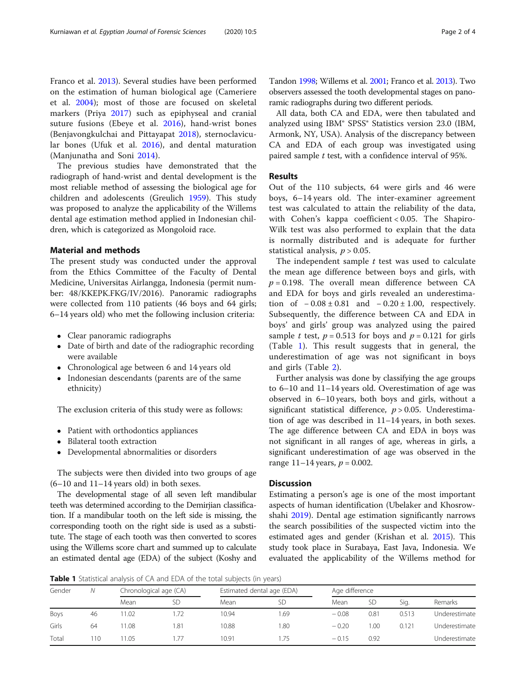Franco et al. [2013\)](#page-3-0). Several studies have been performed on the estimation of human biological age (Cameriere et al. [2004\)](#page-3-0); most of those are focused on skeletal markers (Priya [2017\)](#page-3-0) such as epiphyseal and cranial suture fusions (Ebeye et al. [2016\)](#page-3-0), hand-wrist bones (Benjavongkulchai and Pittayapat [2018](#page-3-0)), sternoclavicular bones (Ufuk et al. [2016\)](#page-3-0), and dental maturation (Manjunatha and Soni [2014\)](#page-3-0).

The previous studies have demonstrated that the radiograph of hand-wrist and dental development is the most reliable method of assessing the biological age for children and adolescents (Greulich [1959\)](#page-3-0). This study was proposed to analyze the applicability of the Willems dental age estimation method applied in Indonesian children, which is categorized as Mongoloid race.

# Material and methods

The present study was conducted under the approval from the Ethics Committee of the Faculty of Dental Medicine, Universitas Airlangga, Indonesia (permit number: 48/KKEPK.FKG/IV/2016). Panoramic radiographs were collected from 110 patients (46 boys and 64 girls; 6–14 years old) who met the following inclusion criteria:

- Clear panoramic radiographs
- Date of birth and date of the radiographic recording were available
- Chronological age between 6 and 14 years old
- Indonesian descendants (parents are of the same ethnicity)

The exclusion criteria of this study were as follows:

- Patient with orthodontics appliances
- Bilateral tooth extraction
- Developmental abnormalities or disorders

The subjects were then divided into two groups of age (6–10 and 11–14 years old) in both sexes.

The developmental stage of all seven left mandibular teeth was determined according to the Demirjian classification. If a mandibular tooth on the left side is missing, the corresponding tooth on the right side is used as a substitute. The stage of each tooth was then converted to scores using the Willems score chart and summed up to calculate an estimated dental age (EDA) of the subject (Koshy and Tandon [1998](#page-3-0); Willems et al. [2001;](#page-3-0) Franco et al. [2013\)](#page-3-0). Two observers assessed the tooth developmental stages on panoramic radiographs during two different periods.

All data, both CA and EDA, were then tabulated and analyzed using IBM® SPSS® Statistics version 23.0 (IBM, Armonk, NY, USA). Analysis of the discrepancy between CA and EDA of each group was investigated using paired sample t test, with a confidence interval of 95%.

# Results

Out of the 110 subjects, 64 were girls and 46 were boys, 6–14 years old. The inter-examiner agreement test was calculated to attain the reliability of the data, with Cohen's kappa coefficient < 0.05. The Shapiro-Wilk test was also performed to explain that the data is normally distributed and is adequate for further statistical analysis,  $p > 0.05$ .

The independent sample  $t$  test was used to calculate the mean age difference between boys and girls, with  $p = 0.198$ . The overall mean difference between CA and EDA for boys and girls revealed an underestimation of  $-0.08 \pm 0.81$  and  $-0.20 \pm 1.00$ , respectively. Subsequently, the difference between CA and EDA in boys' and girls' group was analyzed using the paired sample t test,  $p = 0.513$  for boys and  $p = 0.121$  for girls (Table 1). This result suggests that in general, the underestimation of age was not significant in boys and girls (Table [2](#page-2-0)).

Further analysis was done by classifying the age groups to 6–10 and 11–14 years old. Overestimation of age was observed in 6–10 years, both boys and girls, without a significant statistical difference,  $p > 0.05$ . Underestimation of age was described in 11–14 years, in both sexes. The age difference between CA and EDA in boys was not significant in all ranges of age, whereas in girls, a significant underestimation of age was observed in the range  $11-14$  years,  $p = 0.002$ .

# **Discussion**

Estimating a person's age is one of the most important aspects of human identification (Ubelaker and Khosrowshahi [2019](#page-3-0)). Dental age estimation significantly narrows the search possibilities of the suspected victim into the estimated ages and gender (Krishan et al. [2015](#page-3-0)). This study took place in Surabaya, East Java, Indonesia. We evaluated the applicability of the Willems method for

Table 1 Statistical analysis of CA and EDA of the total subjects (in years)

| Gender | Ν  | Chronological age (CA) |           | Estimated dental age (EDA) |     | Age difference |           |       |               |  |
|--------|----|------------------------|-----------|----------------------------|-----|----------------|-----------|-------|---------------|--|
|        |    | Mean                   | <b>SD</b> | Mean                       | SD  | Mean           | <b>SD</b> | Sia.  | Remarks       |  |
| Boys   | 46 | 1.02                   |           | 10.94                      | .69 | $-0.08$        | 0.81      | 0.513 | Underestimate |  |
| Girls  | 64 | 1.08                   | 81. ،     | 10.88                      | .80 | $-0.20$        | 00.1      | 0.121 | Underestimate |  |
| Total  | 10 | 1.05                   | -77       | 10.91                      | -75 | $-0.15$        | 0.92      |       | Underestimate |  |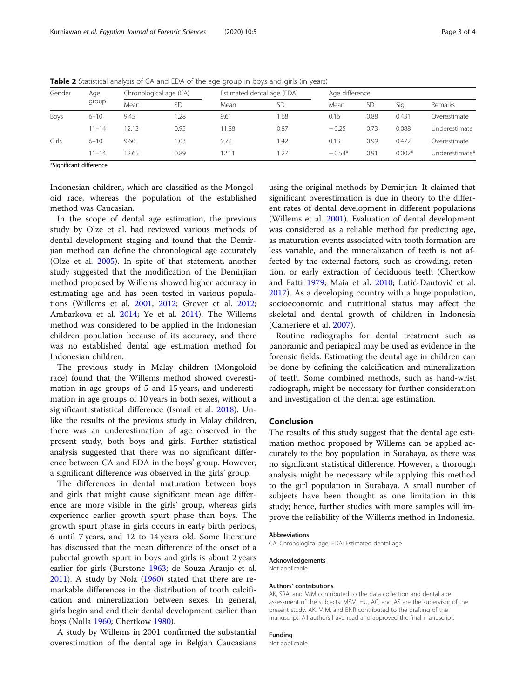| Gender | Aqe<br>group | Chronological age (CA) |           | Estimated dental age (EDA) |           | Age difference |      |          |                |
|--------|--------------|------------------------|-----------|----------------------------|-----------|----------------|------|----------|----------------|
|        |              | Mean                   | <b>SD</b> | Mean                       | <b>SD</b> | Mean           | SD   | Sig.     | Remarks        |
| Boys   | $6 - 10$     | 9.45                   | 1.28      | 9.61                       | . 68      | 0.16           | 0.88 | 0.431    | Overestimate   |
|        | $11 - 14$    | 12.13                  | 0.95      | 1.88                       | 0.87      | $-0.25$        | 0.73 | 0.088    | Underestimate  |
| Girls  | $6 - 10$     | 9.60                   | 1.03      | 9.72                       | 1.42      | 0.13           | 0.99 | 0.472    | Overestimate   |
|        | $11 - 14$    | 12.65                  | 0.89      | 12.11                      | 1.27      | $-0.54*$       | 0.91 | $0.002*$ | Underestimate* |

<span id="page-2-0"></span>Table 2 Statistical analysis of CA and EDA of the age group in boys and girls (in years)

\*Significant difference

Indonesian children, which are classified as the Mongoloid race, whereas the population of the established method was Caucasian.

In the scope of dental age estimation, the previous study by Olze et al. had reviewed various methods of dental development staging and found that the Demirjian method can define the chronological age accurately (Olze et al. [2005\)](#page-3-0). In spite of that statement, another study suggested that the modification of the Demirjian method proposed by Willems showed higher accuracy in estimating age and has been tested in various populations (Willems et al. [2001](#page-3-0), [2012](#page-3-0); Grover et al. [2012](#page-3-0); Ambarkova et al. [2014;](#page-3-0) Ye et al. [2014\)](#page-3-0). The Willems method was considered to be applied in the Indonesian children population because of its accuracy, and there was no established dental age estimation method for Indonesian children.

The previous study in Malay children (Mongoloid race) found that the Willems method showed overestimation in age groups of 5 and 15 years, and underestimation in age groups of 10 years in both sexes, without a significant statistical difference (Ismail et al. [2018](#page-3-0)). Unlike the results of the previous study in Malay children, there was an underestimation of age observed in the present study, both boys and girls. Further statistical analysis suggested that there was no significant difference between CA and EDA in the boys' group. However, a significant difference was observed in the girls' group.

The differences in dental maturation between boys and girls that might cause significant mean age difference are more visible in the girls' group, whereas girls experience earlier growth spurt phase than boys. The growth spurt phase in girls occurs in early birth periods, 6 until 7 years, and 12 to 14 years old. Some literature has discussed that the mean difference of the onset of a pubertal growth spurt in boys and girls is about 2 years earlier for girls (Burstone [1963](#page-3-0); de Souza Araujo et al. [2011](#page-3-0)). A study by Nola ([1960](#page-3-0)) stated that there are remarkable differences in the distribution of tooth calcification and mineralization between sexes. In general, girls begin and end their dental development earlier than boys (Nolla [1960;](#page-3-0) Chertkow [1980\)](#page-3-0).

A study by Willems in 2001 confirmed the substantial overestimation of the dental age in Belgian Caucasians

using the original methods by Demirjian. It claimed that significant overestimation is due in theory to the different rates of dental development in different populations (Willems et al. [2001](#page-3-0)). Evaluation of dental development was considered as a reliable method for predicting age, as maturation events associated with tooth formation are less variable, and the mineralization of teeth is not affected by the external factors, such as crowding, retention, or early extraction of deciduous teeth (Chertkow and Fatti [1979](#page-3-0); Maia et al. [2010;](#page-3-0) Latić-Dautović et al. [2017\)](#page-3-0). As a developing country with a huge population, socioeconomic and nutritional status may affect the skeletal and dental growth of children in Indonesia (Cameriere et al. [2007](#page-3-0)).

Routine radiographs for dental treatment such as panoramic and periapical may be used as evidence in the forensic fields. Estimating the dental age in children can be done by defining the calcification and mineralization of teeth. Some combined methods, such as hand-wrist radiograph, might be necessary for further consideration and investigation of the dental age estimation.

#### Conclusion

The results of this study suggest that the dental age estimation method proposed by Willems can be applied accurately to the boy population in Surabaya, as there was no significant statistical difference. However, a thorough analysis might be necessary while applying this method to the girl population in Surabaya. A small number of subjects have been thought as one limitation in this study; hence, further studies with more samples will improve the reliability of the Willems method in Indonesia.

#### Abbreviations

CA: Chronological age; EDA: Estimated dental age

#### Acknowledgements

Not applicable

#### Authors' contributions

AK, SRA, and MIM contributed to the data collection and dental age assessment of the subjects. MSM, HU, AC, and AS are the supervisor of the present study. AK, MIM, and BNR contributed to the drafting of the manuscript. All authors have read and approved the final manuscript.

# Funding

Not applicable.